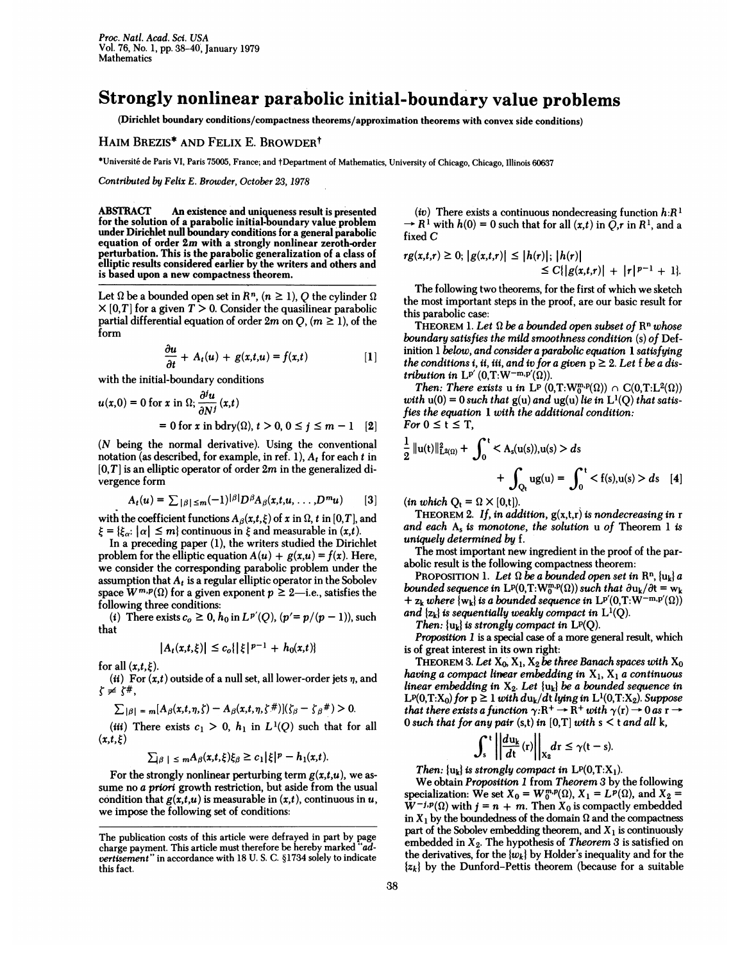## Strongly nonlinear parabolic initial-boundary value problems

(Dirichlet boundary conditions/compactness theorems/approximation theorems with convex side conditions)

## HAIM BREZIS\* AND FELIX E. BROWDERt

\*Universit6 de Paris VI, Paris 75005, France; and tDepartment of Mathematics, University of Chicago, Chicago, Illinois 60637

Contributed by Felix E. Browder, October 23, 1978

ABSTRACT An existence and uniqueness result is presented for the solution of a parabolic initial-boundary value problem under Dirichlet null boundary conditions for a general parabolic equation of order 2m with <sup>a</sup> strongly nonlinear zeroth-order perturbation. This is the parabolic generalization of a class of elliptic results considered earlier by the writers and others and is based upon a new compactness theorem.

Let  $\Omega$  be a bounded open set in  $R^n$ ,  $(n \ge 1)$ , Q the cylinder  $\Omega$  $\times$  [0,T] for a given  $T > 0$ . Consider the quasilinear parabolic partial differential equation of order  $2m$  on  $Q$ ,  $(m \ge 1)$ , of the form

$$
\frac{\partial u}{\partial t} + A_t(u) + g(x,t,u) = f(x,t) \qquad [1]
$$

with the initial-boundary conditions

$$
u(x,0) = 0 \text{ for } x \text{ in } \Omega; \frac{\partial^2 u}{\partial N^j}(x,t)
$$
  
= 0 for x in bdry( $\Omega$ ),  $t > 0$ ,  $0 \le j \le m - 1$  [2]

(N being the normal derivative). Using the conventional notation (as described, for example, in ref. 1),  $A_t$  for each t in  $[0,T]$  is an elliptic operator of order  $2m$  in the generalized divergence form

$$
A_t(u) = \sum_{|\beta| \le m} (-1)^{|\beta|} D^{\beta} A_{\beta}(x, t, u, \dots, D^m u)
$$
 [3]

with the coefficient functions  $A_{\beta}(x,t,\xi)$  of x in  $\Omega$ , t in [0,T], and  $\xi = {\xi_{\alpha}: |\alpha| \leq m}$  continuous in  $\xi$  and measurable in  $(x,t)$ .

In a preceding paper (1), the writers studied the Dirichlet problem for the elliptic equation  $A(u) + g(x, u) = f(x)$ . Here, we consider the corresponding parabolic problem under the assumption that  $A_t$  is a regular elliptic operator in the Sobolev space  $W^{m,p}(\Omega)$  for a given exponent  $p \geq 2$ —i.e., satisfies the following three conditions:

(i) There exists  $c_0 \geq 0$ ,  $h_0$  in  $L^{p'}(Q)$ ,  $(p' = p/(p - 1))$ , such that

$$
|A_t(x,t,\xi)| \leq c_o\{|\xi|^{p-1} + h_0(x,t)\}
$$

for all  $(x,t,\xi)$ .

(*ii*) For  $(x,t)$  outside of a null set, all lower-order jets  $\eta$ , and  $\zeta \neq \zeta^{\#}$ ,

$$
\sum |\beta| = m[A_{\beta}(x,t,\eta,\zeta) - A_{\beta}(x,t,\eta,\zeta^{\#})](\zeta_{\beta} - \zeta_{\beta}^{\#}) > 0.
$$

(iii) There exists  $c_1 > 0$ ,  $h_1$  in  $L^1(Q)$  such that for all  $(x,t,\xi)$ 

$$
\sum_{\beta} |\xi| \leq m A_{\beta}(x,t,\xi)\xi_{\beta} \geq c_1 |\xi|^p - h_1(x,t).
$$

For the strongly nonlinear perturbing term  $g(x,t,u)$ , we assume no a priori growth restriction, but aside from the usual condition that  $g(x,t,u)$  is measurable in  $(x,t)$ , continuous in  $u$ , we impose the following set of conditions:

(iv) There exists a continuous nondecreasing function  $h:R<sup>1</sup>$  $\rightarrow R^1$  with  $h(0) = 0$  such that for all  $(x,t)$  in  $\overline{O}, r$  in  $R^1$ , and a fixed C

$$
rg(x,t,r) \geq 0; |g(x,t,r)| \leq |h(r)|; |h(r)|
$$
  
\n
$$
\leq C\{|g(x,t,r)| + |r|^{p-1} + 1\}.
$$

The following two theorems, for the first of which we sketch the most important steps in the proof, are our basic result for this parabolic case:

THEOREM 1. Let  $\Omega$  be a bounded open subset of  $\mathbb{R}^n$  whose boundary satisfies the mild smoothness condition (s) of Definition <sup>1</sup> below, and consider a parabolic equation <sup>1</sup> satisfying the conditions i, ii, iii, and iv for a given  $p \geq 2$ . Let f be a distribution in  $\mathrm{L}^{p'}\left(0, T: W^{-m, p'}(\Omega)\right)$ .

Then: There exists u in LP  $(0,T:W_0^{m,p}(\Omega)) \cap C(0,T:L^2(\Omega))$ with  $u(0) = 0$  such that  $g(u)$  and  $ug(u)$  lie in  $L^{1}(Q)$  that satisfies the equation 1 with the additional condition: For  $0 \leq t \leq T$ ,

$$
\frac{1}{2} ||u(t)||_{L^{2}(\Omega)}^{2} + \int_{0}^{t} < A_{s}(u(s)), u(s) > ds
$$
  
+ 
$$
\int_{Q_{t}} ug(u) = \int_{0}^{t} < f(s), u(s) > ds \quad [4]
$$

(in which  $Q_t = \Omega \times [0,t]$ ).

THEOREM 2. If, in addition,  $g(x,t,r)$  is nondecreasing in  $r$ and each  $A_s$  is monotone, the solution u of Theorem 1 is uniquely determined by f.

The most important new ingredient in the proof of the parabolic result is the following compactness theorem:

PROPOSITION 1. Let  $\Omega$  be a bounded open set in  $\mathbb{R}^n$ ,  $\{u_k\}$  a bounded sequence in  $L^p(0,T;W_0^{m,p}(\Omega))$  such that  $\partial u_k/\partial t = w_k$ +  $z_k$  where  $\{w_k\}$  is a bounded sequence in  $L^{p'}(0,T:\tilde{W}^{-m,p'}(\Omega))$ and  $\{z_k\}$  is sequentially weakly compact in  $L^1(Q)$ .

Then:  $\{u_k\}$  is strongly compact in  $L^p(Q)$ .

Proposition <sup>1</sup> is a special case of a more general result, which is of great interest in its own right:

THEOREM 3. Let  $X_0$ ,  $X_1$ ,  $X_2$  be three Banach spaces with  $X_0$ having a compact linear embedding in  $X_1$ ,  $X_1$  a continuous linear embedding in  $X_2$ . Let  $\{u_k\}$  be a bounded sequence in LP(0,T:X<sub>0</sub>) for  $p \ge 1$  with  $du_k/dt$  lying in  $L^1(0,T:X_2)$ . Suppose that there exists a function  $\gamma: R^+ \to \overline{R}^+$  with  $\gamma(r) \to 0$  as  $r \to$ 0 such that for any pair (s,t) in  $[0,T]$  with  $s < t$  and all k,

$$
\int_{s}^{t} \left| \left| \frac{d u_{k}}{d t} (r) \right| \right|_{x_{2}} dr \leq \gamma (t - s).
$$

Then:  $\{u_k\}$  is strongly compact in  $L^p(0,T;X_1)$ .

We obtain *Proposition 1* from Theorem 3 by the following specialization: We set  $X_0 = W_0^{m,p}(\Omega)$ ,  $X_1 = L^p(\Omega)$ , and  $X_2 =$  $\hat{W}^{-j,p}(\Omega)$  with  $j = n + m$ . Then  $X_0$  is compactly embedded in  $X_1$  by the boundedness of the domain  $\Omega$  and the compactness part of the Sobolev embedding theorem, and  $X_1$  is continuously embedded in  $X_2$ . The hypothesis of Theorem 3 is satisfied on the derivatives, for the  $\{w_k\}$  by Holder's inequality and for the  $\{z_k\}$  by the Dunford-Pettis theorem (because for a suitable

The publication costs of this article were defrayed in part by page charge payment. This article must therefore be hereby marked "advertisement" in accordance with 18 U. S. C. §1734 solely to indicate this fact.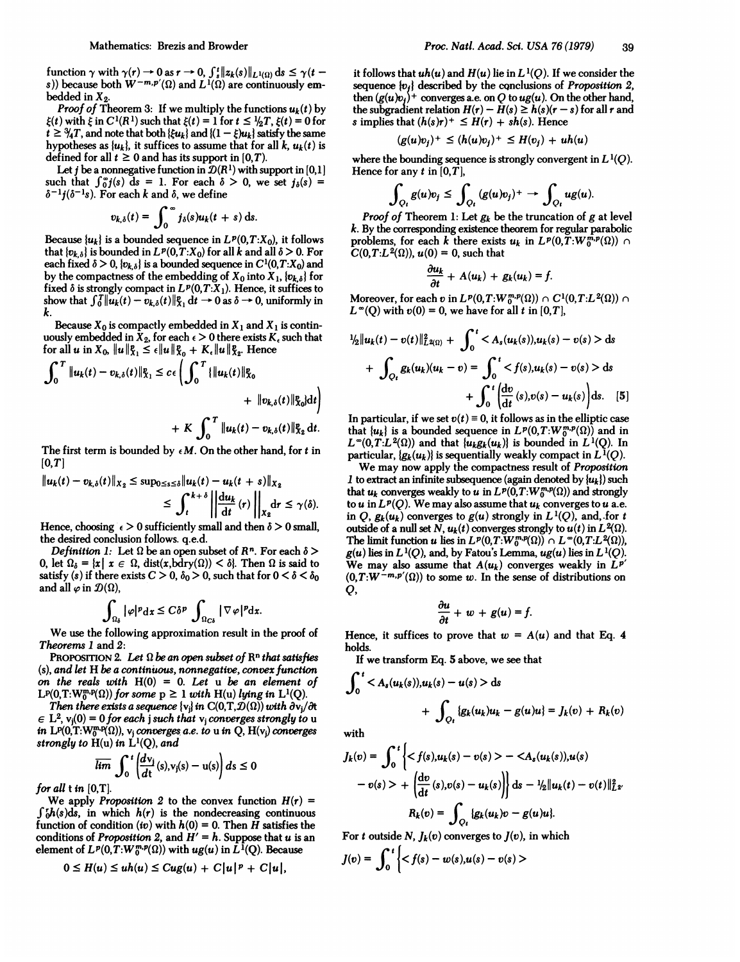$f(x) = \alpha$  as  $f(x)$  if  $\alpha$  as r  $f(x)$  $\ln \gamma$  with  $\gamma(r) \to 0$  as  $r \to 0$ ,  $\int_s^t ||z_k(s)||_{L^1(\Omega)} ds \leq \gamma(t - \frac{1}{\log t})$ s)) because both  $W^{-m,p'}(\Omega)$  and  $L^{1}(\Omega)$  are continuously embedded in  $X_2$ .  $\mathbf{H} \mathbf{X}_2$ , if we multiply the functions  $\mathbf{H}$ 

t of Theorem 3: It we multiply the functions  $u_k(t)$  by the that that the  $\mathbb{C}[t]$  $\xi(t)$  with  $\xi$  in  $C^1(R^1)$  such that  $\xi(t) = 1$  for  $t \leq \frac{1}{2}T$ ,  $\xi(t) = 0$  for  $t \geq \frac{3}{4}T$ , and note that both  $\left\{\xi u_k\right\}$  and  $\left\{\left(1 - \xi\right)u_k\right\}$  satisfy the same hypotheses as  $\{u_k\}$ , it suffices to assume that for all k,  $u_k(t)$  is defined for all  $t \ge 0$  and has its support in  $[0,T)$ .<br>Let j be a nonnegative function in  $\mathcal{D}(R^1)$  with support in  $[0,1]$  Hence for any t in  $[0,T]$ ,

Let *i* be a nonnegative function in  $\mathcal{D}(R^1)$  with support in [0,1] such that  $\int_0^{\infty} j(s) ds = 1$ . For each  $\delta > 0$ , we set  $j_{\delta}(s) = \delta^{-1} j(\delta^{-1}s)$ . For each k and  $\delta$ , we define

$$
v_{k,\delta}(t) = \int_0^\infty j_\delta(s) u_k(t+s) \, ds.
$$

 $\{u_k\}$  is a bounded sequence in  $L^p(0, T: X_0)$ , it follows pr that  $\{v_{k,\delta}\}\$ is bounded in  $L^p(0,T:X_0)$  for all k and all  $\delta > 0$ . For  $C(0,T:L^2(\Omega))$ ,  $u(0) = 0$ , such that each fixed  $\delta > 0$ ,  $\{v_{k,\delta}\}\)$  is a bounded sequence in  $C^1(0,T; X_0)$  and by the compactness of the embedding of  $X_0$  into  $X_1$ ,  $\{v_{k,\delta}\}$  for fixed  $\delta$  is strongly compact in  $L^p(0,T;X_1)$ . Hence, it suffices to show that  $\int_0^T \|\boldsymbol{u}_k(t) - \boldsymbol{v}_{k,\delta}(t)\|_{\mathcal{X}}^p$ , dt  $\to 0$  as  $\delta \to 0$ , uniformly in k.  $\mathbf{v}$  is compact in  $\mathbf{v}$  is continuous in  $\mathbf{v}$  in  $\mathbf{v}$  is continuous in  $\mathbf{v}$ 

se  $\lambda_0$  is compactly embedded in  $\lambda_1$  and  $\lambda_1$  is continuously  $\lambda_0$ . uously embedded in  $X_2$ , for each  $\epsilon > 0$  there exists  $K_{\epsilon}$  such that for all u in  $X_0$ ,  $||u||_{X_1}^p \le \epsilon ||u||_{X_0}^p + K_{\epsilon} ||u||_{X_2}^p$ . Hence

$$
\int_0^T \|u_k(t) - v_{k,\delta}(t)\|_{X_1}^2 \le c\epsilon \left( \int_0^T {\{\|u_k(t)\|_{X_0}^p} + \|v_{k,\delta}(t)\|_{X_0}^p} \right) + K \int_0^T \|u_k(t) - v_{k,\delta}(t)\|_{X_2}^p dt.
$$

 $T$  first term is bounded by EM. On the other hand, for the  $L^{\infty}$  $[0, T]$ 

$$
||u_k(t) - v_{k,\delta}(t)||_{X_2} \le \sup_{0 \le s \le \delta} ||u_k(t) - u_k(t+s)||_{X_2}
$$
  

$$
\le \int_t^{k+\delta} \left| \left| \frac{du_k}{dt}(r) \right| \right|_{X_2} dr \le \gamma(\delta).
$$
 that  
to  $u$   
in Q

Hence, choosing  $\epsilon > 0$  sufficiently small and then  $\delta > 0$  small, the desired conclusion follows. q.e.d.

Definition 1: Let  $\Omega$  be an open subset of  $R^n$ . For each  $\delta$  > 0, 0, let  $\Omega$  be an open subset of  $\Lambda$ ". For each  $0 \geq \Omega$ <br>  $\Omega$  is said to  $\Omega$ .  $\begin{array}{lll}\n\text{If } |x| < 3i, \text{ dist}(x, \text{OUTy}(3i)) \leq 0; \\
\text{If there exists } C > 0, \text{ s} > 0, \text{ such that } \text{for } 0 < \frac{5}{5} < 5, \text{ s.} \\
\end{array}$ satisfy (s) if there exists  $C > 0$ ,  $\delta_0 > 0$ , such that for  $0 < \delta < \delta_0$  and all  $\varphi$  in  $\mathcal{D}(\Omega)$ ,

$$
\int_{\Omega_{\delta}} |\varphi|^{p} dx \le C\delta^{p} \int_{\Omega_{C\delta}} |\nabla \varphi|^{p} dx.
$$

 $T_{\text{L}}$  1.0

 $\sum_{s} P_s$  and 2. Let  $\Omega$  be an open subset of  $\mathbb{R}^n$  that satisfies and  $\prod_{s}$ (s), and let H be a continuous, nonnegative, convex function<br>on the reals with  $H(0) = 0$ . Let u be an element of  $L^{p}(0,T;W_0^{m,p}(\Omega))$  for some  $p \geq 1$  with  $H(u)$  lying in  $L^{1}(Q)$ .

Then there exists a sequence  $\{v_j\}$  in  $C(0,T,\mathcal{D}(\Omega))$  with  $\partial v_j/\partial t$  $\epsilon \in L^2$ ,  $v_j(0) = 0$  for each j such that  $v_j$  converges strongly to u  $\sum_{\text{N}}$   $\sum_{\text{U}}$   $\sum_{\text{U}}$   $\sum_{\text{U}}$   $\sum_{\text{V}}$   $\sum_{\text{V}}$   $\sum_{\text{V}}$   $\sum_{\text{V}}$   $\sum_{\text{V}}$   $\sum_{\text{V}}$   $\sum_{\text{V}}$   $\sum_{\text{V}}$   $\sum_{\text{V}}$   $\sum_{\text{V}}$   $\sum_{\text{V}}$   $\sum_{\text{V}}$   $\sum_{\text{V}}$   $\sum_{\text{V}}$   $\sum_{\text{V}}$   $\sum_{\text{V}}$   $\mathbf{v}_0$  (\\left(),  $\mathbf{v}_i$  converges *u.e.* to  $\mathbf{u}$  in  $\mathbf{v}_i$ 

$$
\overline{lim} \int_0^t \left(\frac{dv_j}{dt}(s), v_j(s) - u(s)\right) ds \leq 0
$$

for all  $t$  in  $[0,T]$ .

 $W$ ,  $T$ ,  $P$  and  $Q$  to the convex function  $P$  of convex function  $P$  $f(t) = \frac{1}{2} \int_{0}^{t} \left( \frac{1}{t} \right) dt$  is the nondecreasing continuous continuous continuous continuous continuous continuous continuous continuous continuous continuous continuous continuous continuous continuous continuous  $\int_0^r h(s) ds$ , in which  $h(r)$  is the nondecreasing continuous function of condition (iv) with  $h(0) = 0$ . Then H satisfies the conditions of *Proposition 2*, and  $H' = h$ . Suppose that *u* is an element of  $L^p(0,T:W_0^{n,p}(\Omega))$  with  $ug(u)$  in  $L^1(Q)$ . Because

$$
0 \leq H(u) \leq uh(u) \leq Cug(u) + C|u|^p + C|u|,
$$

 $\ddot{\phantom{a}}$  it follows that uh(u) and H(u) lie in L 1(Q). If we consider the consider the consider the consider the consider the consider the consider the constant of  $\ddot{\phantom{a}}$ ws that  $u_n(u)$  and  $n(u)$  he in  $L^2(V)$ . If we consider the sequence  $\{v_i\}$  described by the conclusions of *Proposition 2*, then  $(g(u)v_i)^+$  converges a.e. on Q to  $ug(u)$ . On the other hand, the subgradient relation  $H(r) - H(s) \ge h(s)(r - s)$  for all r and s implies that  $(h(s)r)^+ \leq H(r) + sh(s)$ . Hence

$$
(g(u)v_j)^+ \leq (h(u)v_j)^+ \leq H(v_j) + uh(u)
$$

where the bounding sequence is strongly convergent in L 1( $\alpha$ ). he bounding sequence is s

$$
\int_{Q_t} g(u)v_j \leq \int_{Q_t} (g(u)v_j)^+ \to \int_{Q_t} ug(u).
$$

by the correlation of  $g$  and  $g$  are  $g$  regular parabolic regular parabolic  $g$  at lever  $k$ . By the corresponding existence theorem for regular parabolic problems, for each k there exists  $u_k$  in  $L^p(0,T:W_0^{m,p}(\Omega)) \cap$ 

$$
\frac{\partial u_k}{\partial t} + A(u_k) + g_k(u_k) = f.
$$

 $\mathcal{M}$   $\mathcal{M}$  is the contract  $\mathcal{M}$  in  $\mathcal{M}$  in  $\mathcal{M}$  in  $\mathcal{M}$  (Q)) is close to  $\mathcal{M}$  if  $\mathcal{M}$  is contract to  $\mathcal{M}$  is contract to  $\mathcal{M}$  is contract to  $\mathcal{M}$  is contract to  $\mathcal{M}$  is contr er, for each v in  $L^p(0,1:N_0^{n-r}(\Omega)) \cap C^1(0,1:L^2)$ 

$$
||\psi_{2}||u_{k}(t) - v(t)||_{L^{2}(\Omega)}^{2} + \int_{0}^{t} < A_{s}(u_{k}(s)), u_{k}(s) - v(s) > ds
$$
  
+ 
$$
\int_{Q_{t}} g_{k}(u_{k})(u_{k} - v) = \int_{0}^{t} < f(s), u_{k}(s) - v(s) > ds
$$
  
+ 
$$
\int_{0}^{t} \left(\frac{dv}{dt}(s), v(s) - u_{k}(s)\right) ds.
$$
 [5]

In particular, if we set  $v(t) \equiv 0$ , it follows as in the elliptic case that  $\{u_k\}$  is a bounded sequence in  $L^p(0,T:W_0^{m,p}(\Omega))$  and in  $L^{\infty}(0,T;L^{2}(\Omega))$  and that  $\{u_{k}g_{k}(u_{k})\}$  is bounded in  $L^{1}(O)$ . In  $\mathcal{P}(u)$  and that  $(u_{\mathcal{K}}(u_{\mathcal{K}}))$  is bounded in  $\mathcal{P}(Q)$ . In  $\{g_k(u_k)\}\$  is sequentially weakly compact in  $L^1(V)$ .

We may now apply the compactness result of *Proposition 1* to extract an infinite subsequence (again denoted by  $\{u_k\}$ ) such that  $u_k$  converges weakly to u in  $L^p(0,T;W_0^{m,p}(\Omega))$  and strongly to u in  $L^p(Q)$ . We may also assume that  $u_k$  converges to u a.e. in Q,  $g_k(u_k)$  converges to  $g(u)$  strongly in  $L^1(Q)$ , and, for t outside of a null set  $\overline{N}$ ,  $u_k(t)$  converges strongly to  $u(t)$  in  $L^2(\Omega)$ . For a null set N,  $u_k(t)$  converges strongly to  $u(t)$  in  $L^2(\Omega)$ .<br>
function u lies in  $L^p(0,T:W_0^{m,p}(\Omega)) \cap L^{\infty}(0,T:L^2(\Omega))$ ,<br>
n  $L^1(Q)$ , and, by Fatou's Lemma,  $ug(u)$  lies in  $L^1(Q)$ .<br>
also assume that  $A(u_k)$  converges weakl  $g(u)$  lies in  $L^1(Q)$ , and, by Fatou's Lemma,  $ug(u)$  lies in  $L^1(Q)$ . We may also assume that  $A(u_k)$  converges weakly in  $L^{p'}$  $(m, p'(\Omega))$  to some w. In the sense of distributions on Q,

$$
\frac{\partial u}{\partial t} + w + g(u) = f.
$$

Hence, it suffices to prove that  $w = A(u)$  and that Eq. 4

 $\Gamma$   $\alpha$  5 above, we see that ta<br>.

$$
\int_0^t ds
$$
  
+ 
$$
\int_{Q_t} \{g_k(u_k)u_k-g(u)u\}=J_k(v)+R_k(v)
$$

$$
J_k(v) = \int_0^t \left\{ \langle f(s), u_k(s) - v(s) \rangle - \langle A_s(u_k(s)), u(s) \rangle \right. \\ \left. - v(s) \rangle + \left( \frac{dv}{dt} (s), v(s) - u_k(s) \right) \right\} ds - \frac{1}{2} \| u_k(t) - v(t) \|_{L^2}^2.
$$
  

$$
R_k(v) = \int_{Q_t} \{ g_k(u_k)v - g(u)u \}.
$$

For t outside N,  $J_k(v)$  converges to  $J(v)$ , in which

$$
J(v)=\int_0^t\bigg\{
$$